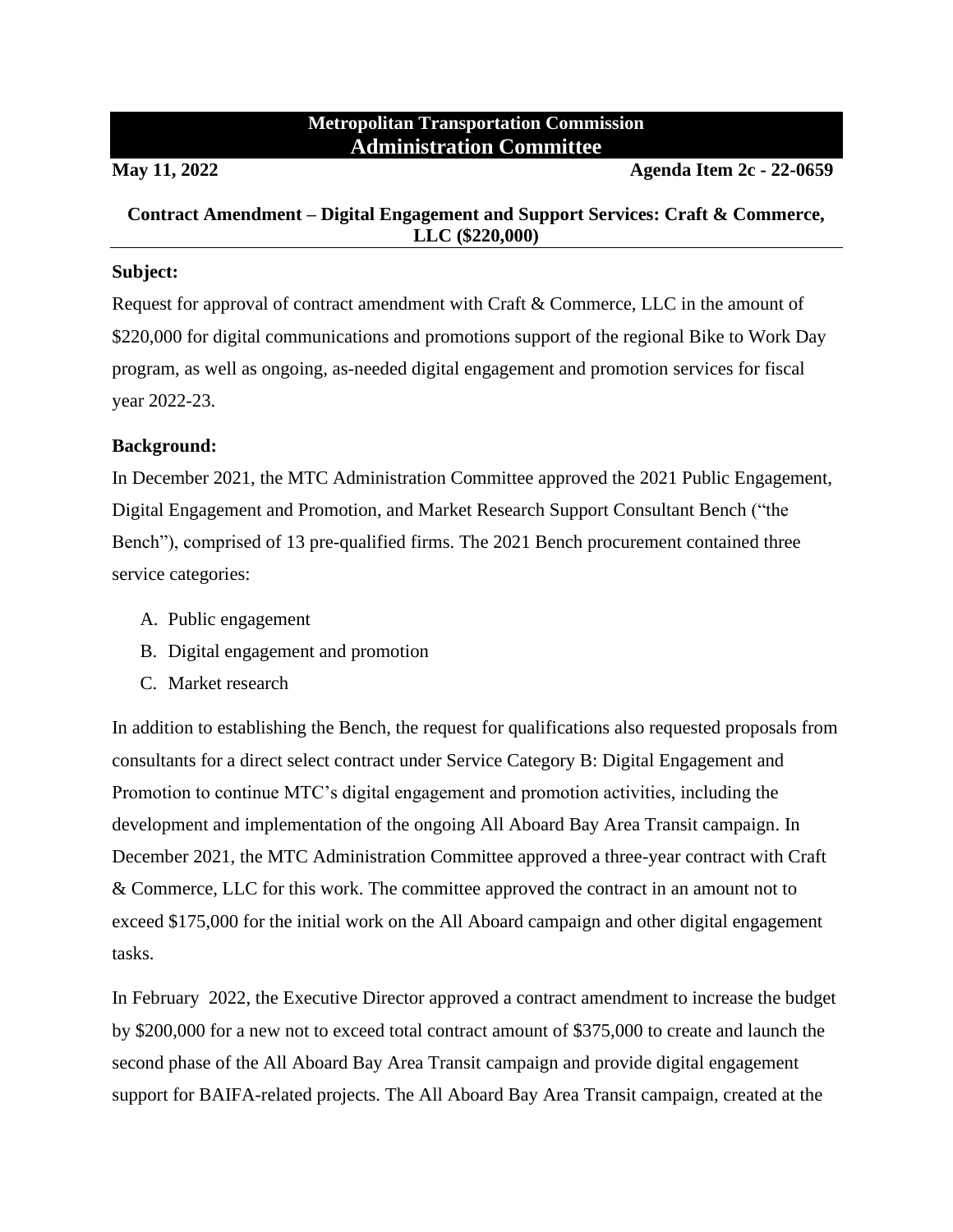## **Metropolitan Transportation Commission Administration Committee**

**May 11, 2022 Agenda Item 2c - 22-0659**

### **Contract Amendment – Digital Engagement and Support Services: Craft & Commerce, LLC (\$220,000)**

#### **Subject:**

Request for approval of contract amendment with Craft & Commerce, LLC in the amount of \$220,000 for digital communications and promotions support of the regional Bike to Work Day program, as well as ongoing, as-needed digital engagement and promotion services for fiscal year 2022-23.

#### **Background:**

In December 2021, the MTC Administration Committee approved the 2021 Public Engagement, Digital Engagement and Promotion, and Market Research Support Consultant Bench ("the Bench"), comprised of 13 pre-qualified firms. The 2021 Bench procurement contained three service categories:

- A. Public engagement
- B. Digital engagement and promotion
- C. Market research

In addition to establishing the Bench, the request for qualifications also requested proposals from consultants for a direct select contract under Service Category B: Digital Engagement and Promotion to continue MTC's digital engagement and promotion activities, including the development and implementation of the ongoing All Aboard Bay Area Transit campaign. In December 2021, the MTC Administration Committee approved a three-year contract with Craft & Commerce, LLC for this work. The committee approved the contract in an amount not to exceed \$175,000 for the initial work on the All Aboard campaign and other digital engagement tasks.

In February 2022, the Executive Director approved a contract amendment to increase the budget by \$200,000 for a new not to exceed total contract amount of \$375,000 to create and launch the second phase of the All Aboard Bay Area Transit campaign and provide digital engagement support for BAIFA-related projects. The All Aboard Bay Area Transit campaign, created at the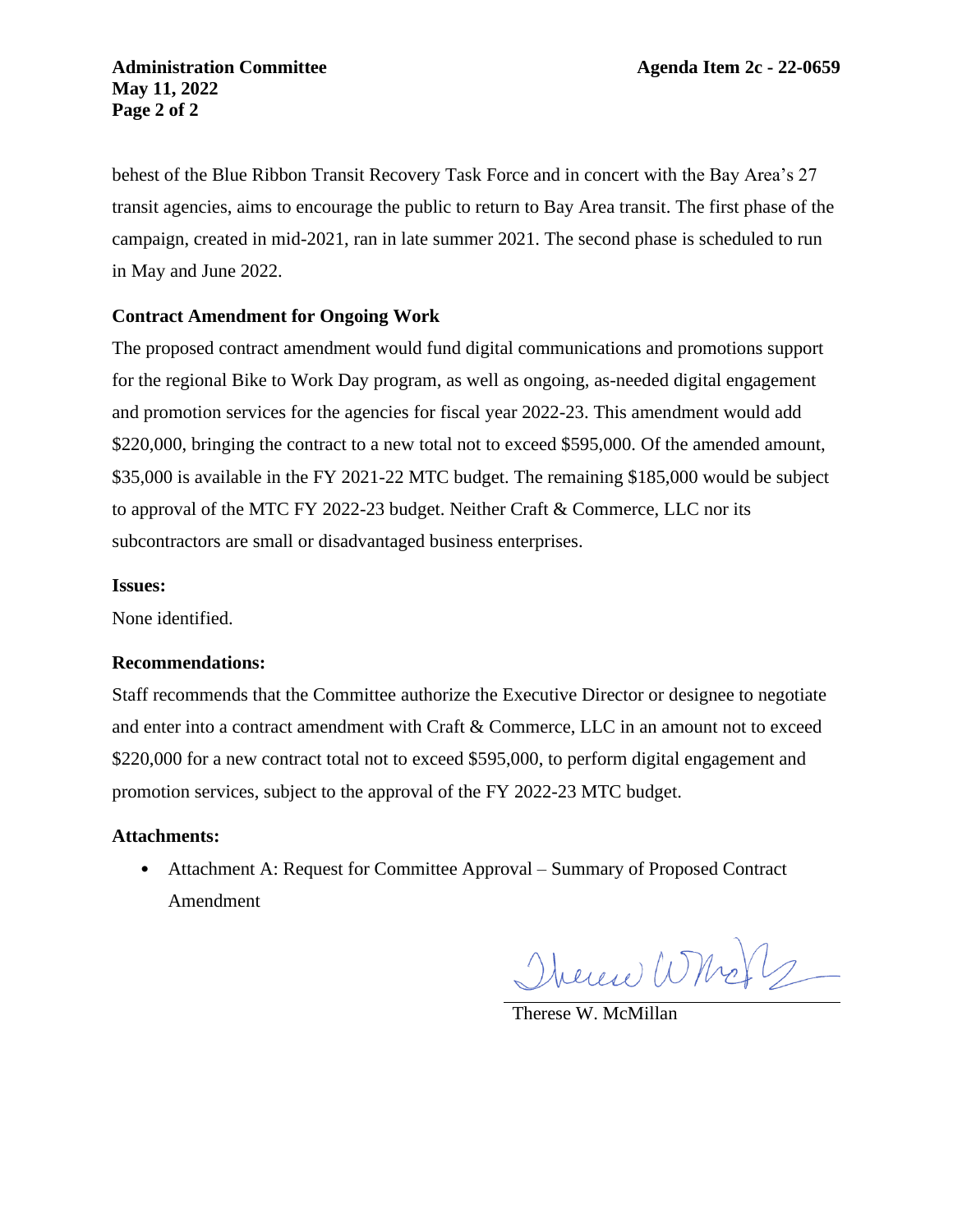behest of the Blue Ribbon Transit Recovery Task Force and in concert with the Bay Area's 27 transit agencies, aims to encourage the public to return to Bay Area transit. The first phase of the campaign, created in mid-2021, ran in late summer 2021. The second phase is scheduled to run in May and June 2022.

#### **Contract Amendment for Ongoing Work**

The proposed contract amendment would fund digital communications and promotions support for the regional Bike to Work Day program, as well as ongoing, as-needed digital engagement and promotion services for the agencies for fiscal year 2022-23. This amendment would add \$220,000, bringing the contract to a new total not to exceed \$595,000. Of the amended amount, \$35,000 is available in the FY 2021-22 MTC budget. The remaining \$185,000 would be subject to approval of the MTC FY 2022-23 budget. Neither Craft & Commerce, LLC nor its subcontractors are small or disadvantaged business enterprises.

#### **Issues:**

None identified.

#### **Recommendations:**

Staff recommends that the Committee authorize the Executive Director or designee to negotiate and enter into a contract amendment with Craft & Commerce, LLC in an amount not to exceed \$220,000 for a new contract total not to exceed \$595,000, to perform digital engagement and promotion services, subject to the approval of the FY 2022-23 MTC budget.

#### **Attachments:**

• Attachment A: Request for Committee Approval – Summary of Proposed Contract Amendment

Therene Whole

Therese W. McMillan